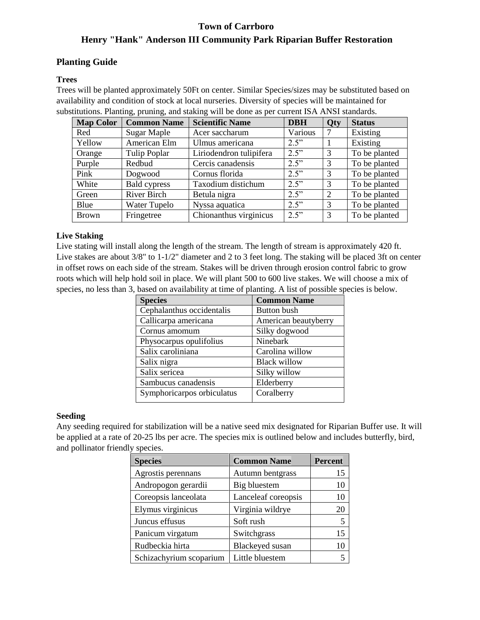# **Town of Carrboro Henry "Hank" Anderson III Community Park Riparian Buffer Restoration**

## **Planting Guide**

### **Trees**

Trees will be planted approximately 50Ft on center. Similar Species/sizes may be substituted based on availability and condition of stock at local nurseries. Diversity of species will be maintained for substitutions. Planting, pruning, and staking will be done as per current ISA ANSI standards.

| <b>Map Color</b> | <b>Common Name</b>  | <b>Scientific Name</b>  | <b>DBH</b> | Qty            | <b>Status</b> |
|------------------|---------------------|-------------------------|------------|----------------|---------------|
| Red              | Sugar Maple         | Acer saccharum          | Various    |                | Existing      |
| Yellow           | American Elm        | Ulmus americana         | 2.5"       |                | Existing      |
| Orange           | Tulip Poplar        | Liriodendron tulipifera | 2.5"       | 3              | To be planted |
| Purple           | Redbud              | Cercis canadensis       | 2.5"       | 3              | To be planted |
| Pink             | Dogwood             | Cornus florida          | 2.5"       | 3              | To be planted |
| White            | <b>Bald</b> cypress | Taxodium distichum      | 2.5"       | 3              | To be planted |
| Green            | River Birch         | Betula nigra            | 2.5"       | $\overline{2}$ | To be planted |
| Blue             | Water Tupelo        | Nyssa aquatica          | 2.5"       | 3              | To be planted |
| <b>Brown</b>     | Fringetree          | Chionanthus virginicus  | 2.5"       | 3              | To be planted |

### **Live Staking**

Live stating will install along the length of the stream. The length of stream is approximately 420 ft. Live stakes are about  $3/8$ " to  $1-1/2$ " diameter and 2 to 3 feet long. The staking will be placed 3ft on center in offset rows on each side of the stream. Stakes will be driven through erosion control fabric to grow roots which will help hold soil in place. We will plant 500 to 600 live stakes. We will choose a mix of species, no less than 3, based on availability at time of planting. A list of possible species is below.

| <b>Species</b>             | <b>Common Name</b>   |
|----------------------------|----------------------|
| Cephalanthus occidentalis  | Button bush          |
| Callicarpa americana       | American beautyberry |
| Cornus amomum              | Silky dogwood        |
| Physocarpus opulifolius    | Ninebark             |
| Salix caroliniana          | Carolina willow      |
| Salix nigra                | <b>Black willow</b>  |
| Salix sericea              | Silky willow         |
| Sambucus canadensis        | Elderberry           |
| Symphoricarpos orbiculatus | Coralberry           |
|                            |                      |

### **Seeding**

Any seeding required for stabilization will be a native seed mix designated for Riparian Buffer use. It will be applied at a rate of 20-25 lbs per acre. The species mix is outlined below and includes butterfly, bird, and pollinator friendly species.

| <b>Species</b>          | <b>Common Name</b>  | <b>Percent</b> |
|-------------------------|---------------------|----------------|
| Agrostis perennans      | Autumn bentgrass    | 15             |
| Andropogon gerardii     | Big bluestem        | 10             |
| Coreopsis lanceolata    | Lanceleaf coreopsis | 10             |
| Elymus virginicus       | Virginia wildrye    | 20             |
| Juncus effusus          | Soft rush           | 5              |
| Panicum virgatum        | Switchgrass         | 15             |
| Rudbeckia hirta         | Blackeyed susan     | 10             |
| Schizachyrium scoparium | Little bluestem     | ς              |